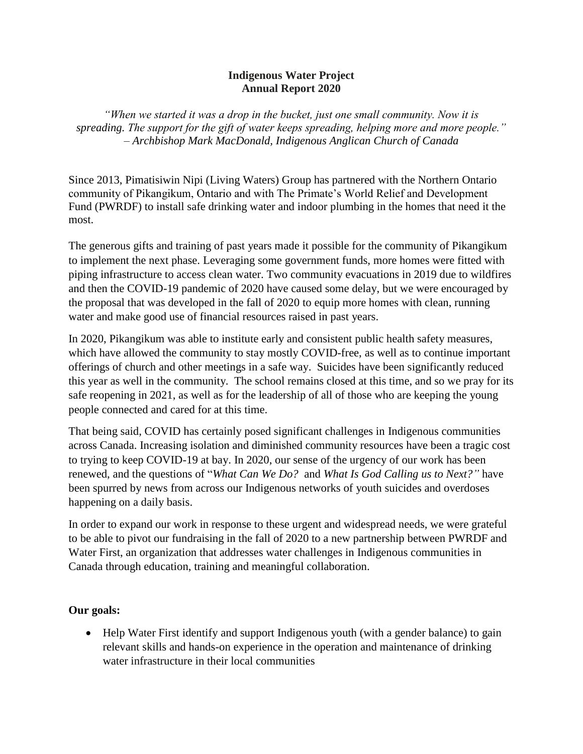## **Indigenous Water Project Annual Report 2020**

*"When we started it was a drop in the bucket, just one small community. Now it is spreading. The support for the gift of water keeps spreading, helping more and more people." – Archbishop Mark MacDonald, Indigenous Anglican Church of Canada*

Since 2013, Pimatisiwin Nipi (Living Waters) Group has partnered with the Northern Ontario community of Pikangikum, Ontario and with The Primate's World Relief and Development Fund (PWRDF) to install safe drinking water and indoor plumbing in the homes that need it the most.

The generous gifts and training of past years made it possible for the community of Pikangikum to implement the next phase. Leveraging some government funds, more homes were fitted with piping infrastructure to access clean water. Two community evacuations in 2019 due to wildfires and then the COVID-19 pandemic of 2020 have caused some delay, but we were encouraged by the proposal that was developed in the fall of 2020 to equip more homes with clean, running water and make good use of financial resources raised in past years.

In 2020, Pikangikum was able to institute early and consistent public health safety measures, which have allowed the community to stay mostly COVID-free, as well as to continue important offerings of church and other meetings in a safe way. Suicides have been significantly reduced this year as well in the community. The school remains closed at this time, and so we pray for its safe reopening in 2021, as well as for the leadership of all of those who are keeping the young people connected and cared for at this time.

That being said, COVID has certainly posed significant challenges in Indigenous communities across Canada. Increasing isolation and diminished community resources have been a tragic cost to trying to keep COVID-19 at bay. In 2020, our sense of the urgency of our work has been renewed, and the questions of "*What Can We Do?* and *What Is God Calling us to Next?"* have been spurred by news from across our Indigenous networks of youth suicides and overdoses happening on a daily basis.

In order to expand our work in response to these urgent and widespread needs, we were grateful to be able to pivot our fundraising in the fall of 2020 to a new partnership between PWRDF and Water First, an organization that addresses water challenges in Indigenous communities in Canada through education, training and meaningful collaboration.

## **Our goals:**

• Help Water First identify and support Indigenous youth (with a gender balance) to gain relevant skills and hands-on experience in the operation and maintenance of drinking water infrastructure in their local communities